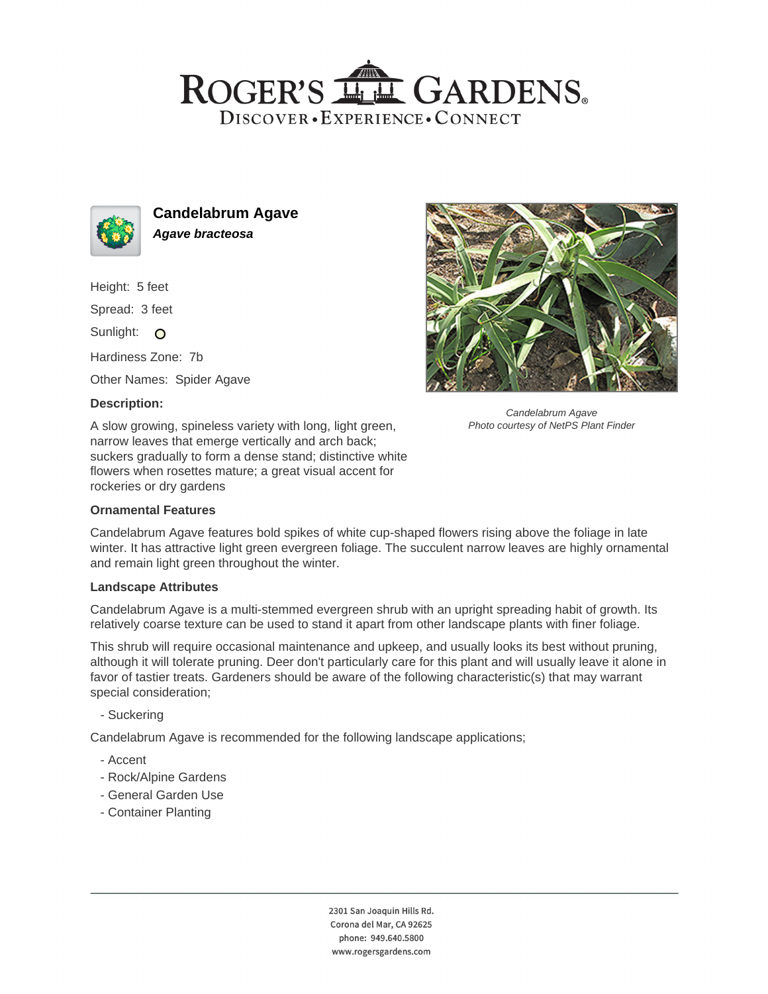## ROGER'S LL GARDENS. DISCOVER · EXPERIENCE · CONNECT



**Candelabrum Agave Agave bracteosa**

Height: 5 feet

Spread: 3 feet

Sunlight: O

Hardiness Zone: 7b

Other Names: Spider Agave

### **Description:**

A slow growing, spineless variety with long, light green, narrow leaves that emerge vertically and arch back; suckers gradually to form a dense stand; distinctive white flowers when rosettes mature; a great visual accent for rockeries or dry gardens

#### **Ornamental Features**



Candelabrum Agave Photo courtesy of NetPS Plant Finder

Candelabrum Agave features bold spikes of white cup-shaped flowers rising above the foliage in late winter. It has attractive light green evergreen foliage. The succulent narrow leaves are highly ornamental and remain light green throughout the winter.

#### **Landscape Attributes**

Candelabrum Agave is a multi-stemmed evergreen shrub with an upright spreading habit of growth. Its relatively coarse texture can be used to stand it apart from other landscape plants with finer foliage.

This shrub will require occasional maintenance and upkeep, and usually looks its best without pruning, although it will tolerate pruning. Deer don't particularly care for this plant and will usually leave it alone in favor of tastier treats. Gardeners should be aware of the following characteristic(s) that may warrant special consideration;

- Suckering

Candelabrum Agave is recommended for the following landscape applications;

- Accent
- Rock/Alpine Gardens
- General Garden Use
- Container Planting

2301 San Joaquin Hills Rd. Corona del Mar, CA 92625 phone: 949.640.5800 www.rogersgardens.com